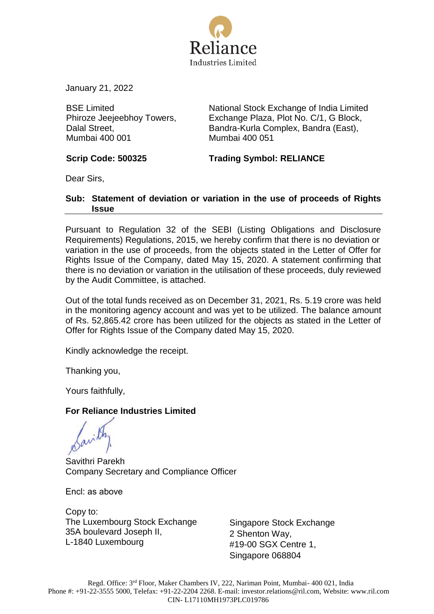

January 21, 2022

BSE Limited Phiroze Jeejeebhoy Towers, Dalal Street, Mumbai 400 001

National Stock Exchange of India Limited Exchange Plaza, Plot No. C/1, G Block, Bandra-Kurla Complex, Bandra (East), Mumbai 400 051

**Scrip Code: 500325 Trading Symbol: RELIANCE**

Dear Sirs,

## **Sub: Statement of deviation or variation in the use of proceeds of Rights Issue**

Pursuant to Regulation 32 of the SEBI (Listing Obligations and Disclosure Requirements) Regulations, 2015, we hereby confirm that there is no deviation or variation in the use of proceeds, from the objects stated in the Letter of Offer for Rights Issue of the Company, dated May 15, 2020. A statement confirming that there is no deviation or variation in the utilisation of these proceeds, duly reviewed by the Audit Committee, is attached.

Out of the total funds received as on December 31, 2021, Rs. 5.19 crore was held in the monitoring agency account and was yet to be utilized. The balance amount of Rs. 52,865.42 crore has been utilized for the objects as stated in the Letter of Offer for Rights Issue of the Company dated May 15, 2020.

Kindly acknowledge the receipt.

Thanking you,

Yours faithfully,

# **For Reliance Industries Limited**

Savithri Parekh Company Secretary and Compliance Officer

Encl: as above

Copy to: The Luxembourg Stock Exchange 35A boulevard Joseph II, L-1840 Luxembourg

Singapore Stock Exchange 2 Shenton Way, #19-00 SGX Centre 1, Singapore 068804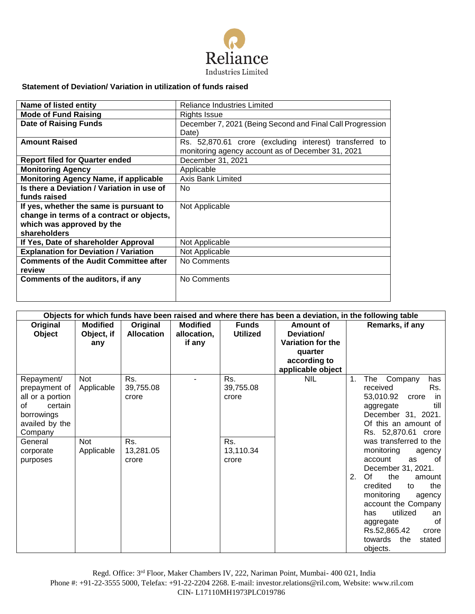

## **Statement of Deviation/ Variation in utilization of funds raised**

| Name of listed entity                        | Reliance Industries Limited                               |  |  |  |  |  |
|----------------------------------------------|-----------------------------------------------------------|--|--|--|--|--|
| <b>Mode of Fund Raising</b>                  | Rights Issue                                              |  |  |  |  |  |
| <b>Date of Raising Funds</b>                 | December 7, 2021 (Being Second and Final Call Progression |  |  |  |  |  |
|                                              | Date)                                                     |  |  |  |  |  |
| <b>Amount Raised</b>                         | Rs. 52,870.61 crore (excluding interest) transferred to   |  |  |  |  |  |
|                                              | monitoring agency account as of December 31, 2021         |  |  |  |  |  |
| <b>Report filed for Quarter ended</b>        | December 31, 2021                                         |  |  |  |  |  |
| <b>Monitoring Agency</b>                     | Applicable                                                |  |  |  |  |  |
| <b>Monitoring Agency Name, if applicable</b> | Axis Bank Limited                                         |  |  |  |  |  |
| Is there a Deviation / Variation in use of   | No.                                                       |  |  |  |  |  |
| funds raised                                 |                                                           |  |  |  |  |  |
| If yes, whether the same is pursuant to      | Not Applicable                                            |  |  |  |  |  |
| change in terms of a contract or objects,    |                                                           |  |  |  |  |  |
| which was approved by the                    |                                                           |  |  |  |  |  |
| shareholders                                 |                                                           |  |  |  |  |  |
| If Yes, Date of shareholder Approval         | Not Applicable                                            |  |  |  |  |  |
| <b>Explanation for Deviation / Variation</b> | Not Applicable                                            |  |  |  |  |  |
| <b>Comments of the Audit Committee after</b> | No Comments                                               |  |  |  |  |  |
| review                                       |                                                           |  |  |  |  |  |
| Comments of the auditors, if any             | No Comments                                               |  |  |  |  |  |
|                                              |                                                           |  |  |  |  |  |
|                                              |                                                           |  |  |  |  |  |

| Objects for which funds have been raised and where there has been a deviation, in the following table                                           |                                        |                                                        |                                          |                                                        |                                                                                              |                                                                                                                                                                                                                                                                                                                                                                                                    |  |  |  |
|-------------------------------------------------------------------------------------------------------------------------------------------------|----------------------------------------|--------------------------------------------------------|------------------------------------------|--------------------------------------------------------|----------------------------------------------------------------------------------------------|----------------------------------------------------------------------------------------------------------------------------------------------------------------------------------------------------------------------------------------------------------------------------------------------------------------------------------------------------------------------------------------------------|--|--|--|
| Original<br>Object                                                                                                                              | <b>Modified</b><br>Object, if<br>any   | Original<br><b>Allocation</b>                          | <b>Modified</b><br>allocation,<br>if any | <b>Funds</b><br><b>Utilized</b>                        | Amount of<br>Deviation/<br>Variation for the<br>quarter<br>according to<br>applicable object | Remarks, if any                                                                                                                                                                                                                                                                                                                                                                                    |  |  |  |
| Repayment/<br>prepayment of<br>all or a portion<br>certain<br>Ωf<br>borrowings<br>availed by the<br>Company<br>General<br>corporate<br>purposes | Not<br>Applicable<br>Not<br>Applicable | Rs.<br>39,755.08<br>crore<br>Rs.<br>13,281.05<br>crore |                                          | Rs.<br>39,755.08<br>crore<br>Rs.<br>13,110.34<br>crore | <b>NIL</b>                                                                                   | 1.<br>The<br>Company<br>has<br>Rs.<br>received<br>53,010.92<br>in.<br>crore<br>till<br>aggregate<br>December 31, 2021.<br>Of this an amount of<br>Rs. 52,870.61 crore<br>was transferred to the<br>monitoring<br>agency<br>account<br>as<br>of<br>December 31, 2021.<br>Of<br>the<br>2.<br>amount<br>credited<br>the<br>to<br>monitoring<br>agency<br>account the Company<br>utilized<br>has<br>an |  |  |  |
|                                                                                                                                                 |                                        |                                                        |                                          |                                                        |                                                                                              | Ωf<br>aggregate<br>Rs.52,865.42<br>crore<br>towards<br>the<br>stated<br>objects.                                                                                                                                                                                                                                                                                                                   |  |  |  |

Regd. Office: 3rd Floor, Maker Chambers IV, 222, Nariman Point, Mumbai- 400 021, India Phone #: +91-22-3555 5000, Telefax: +91-22-2204 2268. E-mail: [investor.relations@ril.com,](mailto:investor.relations@ril.com) Website: www.ril.com CIN- L17110MH1973PLC019786